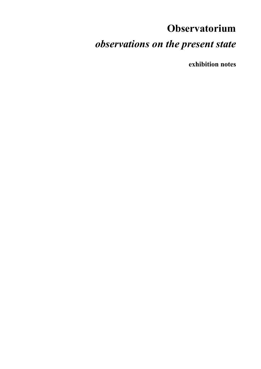# **Observatorium**  *observations on the present state*

**exhibition notes**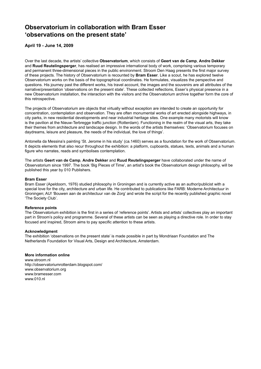# **Observatorium in collaboration with Bram Esser 'observations on the present state'**

**April 19 - June 14, 2009**

Over the last decade, the artists' collective **Observatorium**, which consists of **Geert van de Camp**, **Andre Dekker** and **Ruud Reutelingsperger**, has realised an impressive international body of work, comprising various temporary and permanent three-dimensional pieces in the public environment. Stroom Den Haag presents the first major survey of these projects. The history of Observatorium is recounted by **Bram Esser**. Like a scout, he has explored twelve Observatorium works on the basis of the topographical coordinates. He formulates, visualizes the perspective and questions. His journey past the different works, his travel account, the images and the souvenirs are all attributes of the narrative/presentation 'observations on the present state'. These collected reflections, Esser's physical presence in a new Observatorium installation, the interaction with the visitors and the Observatorium archive together form the core of this retrospective.

The projects of Observatorium are objects that virtually without exception are intended to create an opportunity for concentration, contemplation and observation. They are often monumental works of art erected alongside highways, in city parks, in new residential developments and near industrial heritage sites. One example many motorists will know is the pavilion at the Nieuw-Terbregge traffic junction (Rotterdam). Functioning in the realm of the visual arts, they take their themes from architecture and landscape design. In the words of the artists themselves: 'Observatorium focuses on daydreams, leisure and pleasure, the needs of the individual, the love of things'.

Antonella da Messina's painting 'St. Jerome in his study' (ca.1460) serves as a foundation for the work of Observatorium. It depicts elements that also recur throughout the exhibition: a platform, cupboards, statues, texts, animals and a human figure who narrates, reads and symbolises contemplation.

The artists **Geert van de Camp**, **Andre Dekker** and **Ruud Reutelingsperger** have collaborated under the name of Observatorium since 1997. The book 'Big Pieces of Time', an artist's book the Observatorium design philosophy, will be published this year by 010 Publishers.

# **Bram Esser**

Bram Esser (Apeldoorn, 1976) studied philosophy in Groningen and is currently active as an author/publicist with a special love for the city, architecture and urban life. He contributed to publications like FARB: Moderne Architectuur in Groningen; AU! 'Bouwen aan de architectuur van de Zorg' and wrote the script for the recently published graphic novel 'The Society Club'.

# **Reference points**

The Observatorium exhibition is the first in a series of 'reference points'. Artists and artists' collectives play an important part in Stroom's policy and programme. Several of these artists can be seen as playing a directive role. In order to stay focused and inspired, Stroom aims to pay specific attention to these artists.

# **Acknowledgment**

The exhibition 'observations on the present state' is made possible in part by Mondriaan Foundation and The Netherlands Foundation for Visual Arts, Design and Architecture, Amsterdam.

# **More information online**

www.stroom.nl http://observatoriumrotterdam.blogspot.com/ www.observatorium.org www.bramesser.com www.010.nl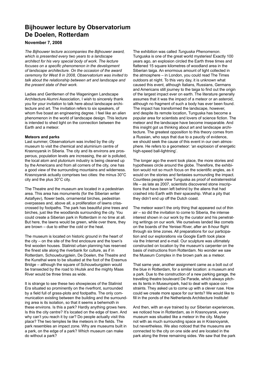# **Bijhouwer lecture by Observatorium De Doelen, Rotterdam**

# **November 7, 2008**

*The Bijhouwer lecture accompanies the Bijhouwer award, which is presented every two years to a landscape architect for his very special body of work. The lecture focuses on a specific phenomenon in the development of landscape architecture. On the occasion of the award ceremony for West 8 in 2008, Observatorium was invited to talk about the relationship between art and landscape and the present state of their work.*

Ladies and Gentlemen of the Wageningen Landscape Architecture Alumni Association, I wish to sincerely thank you for your invitation to talk here about landscape architecture and art. The invitation refers to six speakers, of whom five boast an engineering degree. I feel like an alien phenomenon in the world of landscape design. This lecture is intended to shed light on the connection between the Earth and a meteor.

# **Meteors and parks**

Last summer, Observatorium was invited by the city museum to visit the chemical and aluminium centre of Krasnoyarsk in Siberia. The city and its environs are prosperous, population levels are increasing, the air is polluted, the local atom and plutonium industry is being cleaned up by the Americans and from all corners of the city, one has a good view of the surrounding mountains and wilderness. Krasnoyarsk actually comprises two cities: the minus 30°C city and the plus 30°C city.

The Theatre and the museum are located in a pedestrian area. This area has monuments (for the Siberian writer Astafiyev), flower beds, ornamental birches, pedestrian overpasses and, above all, a proliferation of lawns crisscrossed by footpaths. The park has beautiful pine trees and birches, just like the woodlands surrounding the city. You could create a Siberian park in Rotterdam in no time at all. But here, the lawns would be green, while over there, they are brown – due to either the cold or the heat.

The museum is located on historic ground in the heart of the city – on the site of the first enclosure and the town's first wooden houses. Stalinist urban planning has reserved the finest site along the riverbank for culture, as if in Rotterdam, Schouwburgplein, De Doelen, the Theatre and the Kunsthal were to be situated at the foot of the Erasmus Bridge – although the square of Schouwburgplein would be transected by the road to Irkutsk and the mighty Maas River would be three times as wide.

It is strange to see these two showpieces of the Stalinist Era situated so prominently on the riverfront, surrounded by a field full of grass-plots and footpaths. The only communication existing between the building and the surrounding area is its isolation, so that it seems a behemoth in these environs. Is this a park? Hardly anything grows here. Is this the city centre? It's located on the edge of town. And why can't you reach it by car? Do people actually visit this place? The two temples lie like meteors in the fields. The park resembles an impact zone. Why are museums built in a park, on the edge of a park? Which museum can make do without a park?

The exhibition was called *Tunguska Phenomenon*. Tunguska is one of the great world mysteries! Exactly 100 years ago, an explosion circled the Earth three times and flattened 15 square kilometres of woodland area in the Siberian taiga. An enormous amount of light collected in the atmosphere – in London, you could read The Times outdoors at night. To this very day, it is unknown what caused this event, although Italians, Russians, Germans and Americans still journey to the taiga to find out the origin of the largest impact ever on earth. The literature generally assumes that it was the impact of a meteor or an asteroid, although no fragment of such a body has ever been found. The impact has transformed the landscape, however, and despite its remote location, Tunguska has become a popular area for scientists and lovers of science fiction. The meteor and the landscape have become inseparable. And this insight got us thinking about art and landscape architecture. The greatest opposition to this theory comes from a Russian, who says that due to a paucity of evidence, we should seek the cause of this event in our own atmosphere. He refers to a geometeor: 'an explosion of energetic high-speed ball-lightning'.

The longer ago the event took place, the more stories and hypotheses circle around the globe. Therefore, the exhibition would not so much focus on the scientific angles, as it would on the stories and fantasies surrounding the impact. Countless people view Tunguska as proof of extraterrestrial life – as late as 2007, scientists discovered stone inscriptions that have been left behind by the aliens that had crashed into Earth with their spaceship. What a pity that they didn't end up off the Dutch coast.

The meteor wasn't the only thing that appeared out of thin air – so did the invitation to come to Siberia, the intense interest shown in our work by the curator and his penetrating writings on our work. We ourselves landed like comets on the boards of the Yenisei River, after an 8-hour flight through six time zones. All preparations for our participation and our explorations via Google Earth took place via the Internet and e-mail. Our sculpture was ultimately constructed on location by the museum's carpenter on the basis of instructions from Rotterdam. No wonder we saw the Museum Complex in the brown park as a meteor.

That same year, another assignment came as a bolt out of the blue in Rotterdam, for a similar location: a museum and a park. Due to the construction of a new parking garage, the travelling theatre boulevard De Parade, which always pitches its tents in Museumpark, had to deal with space constraints. They asked us to come up with a clever ruse. How could we create more space for our tents? We would like to fill in the ponds of the Netherlands Architecture Institute!

And then, with an eye trained by our Siberian experiences, we noticed how in Rotterdam, as in Krasnoyarsk, every museum was situated like a meteor in the city. Maybe not with as much surrounding space as in Krasnoyarsk, but nevertheless. We also noticed that the museums are connected to the city on one side and are located in the park along the three remaining sides. We saw that the park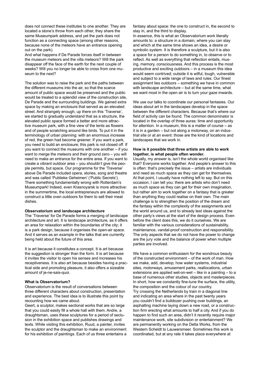does not connect these institutes to one another. They are located a stone's throw from each other, they share the same Museumpark address, and yet the park does not function as a connecting space (among other reasons, because none of the meteors have an entrance opening out on the park).

And what happens if De Parade forces itself in between the museum meteors and the villa meteors? Will the park disappear off the face of the earth for the next couple of weeks? Will you no longer be able to cross from one museum to the next?

The solution was to raise the park and the paths between the different museums into the air, so that the scarce amount of public space would be preserved and the public would be treated to a splendid view of the construction site, De Parade and the surrounding buildings. We gained extra space by making an enclosure that served as an elevated street. And strangely enough, up there on this 'Traverse', we started to gradually understand that as a structure, the elevated public space formed a better and more attractive museum park, with a fine view of the tents as flowers and of people scratching around like birds. To put it in the terminology of urban planning: with an enormous increase of red, the green had become greener. If you want a park, you need to build an enclosure; this park is not closed off. If you want to connect the museums with one another – if you want to merge the meteors and their ground zero – you will need to make an entrance for the entire area. If you want to create a vibrant outdoor area – you shouldn't give the people permits, but space. Our programme for the 'Traverse' above De Parade included opera, stories, song and theatre and was called 'Publieke Geheimen' ('Public Secrets'). There something fundamentally wrong with Rotterdam's Museumpark! Indeed, even Krasnoyarsk is more attractive: in the summertime, the local entrepreneurs are allowed to construct a little oven outdoors for them to sell their meat dishes.

### **Observatorium and landscape architecture**

The 'Traverse' for De Parade forms a merging of landscape architecture and art. It is landscape architecture, as it offers an area for relaxation within the boundaries of the city; it is a park design, because it organises the open-air space. And it serves as an example in the talks that are currently being held about the future of this area.

It is art because it constitutes a concept. It is art because the suggestion is stronger than the form. It is art because it invites the visitor to open his senses and increases his receptiveness. It is also art because besides having a practical side and promoting pleasure, it also offers a sizeable amount of je-ne-sais-quoi.

### **What is Observatorium?**

Observatorium is the result of conversations between three different characters about construction, presentation and experience. The best idea is to illustrate this point by recounting how we came about.

Geert, a sculptor, makes sectional works that are so large that you could easily fill a whole hall with them. Andre, a draughtsman, uses these sculptures for a period of seclusion in the exhibition space and publishes drawings and texts. While visiting this exhibition, Ruud, a painter, invites the sculptor and the draughtsman to make an environment for his exhibition of paintings. Each of us three entertains a fantasy about space: the one to construct in, the second to stay in, and the third to display.

In essence, this is what an Observatorium work literally amounts to: a structure in a domain, where you can stay and which at the same time shows an idea, a desire or symbolic system. It is therefore a sculpture, but it is also a space for a person to do something in, to observe or to reflect. As well as everything that reflection entails, musing, memory, consciousness. And this process is the most productive and exciting outdoors – in a museum this idea would seem contrived; outside it is wilful, tough, vulnerable and subject to a wide range of laws and rules. Our finest assignment lies outdoors – something we have in common with landscape architecture – but at the same time, what we want most in the open air is to turn your gaze inwards.

We use our talks to coordinate our personal fantasies. Our ideas about art in the landscapes develop in the space between the different characters. Because that's where our field of activity can be found. The common denominator is located in the overlap of three auras: time and opportunity for attention. In a museum, this is a matter of course – as it is in a garden – but not along a motorway, on an industrial site or at an event: those are the kind of locations and landscapes that we work in.

## **How is it possible that three artists are able to work together, is what people often wonder.**

Usually, my answer is, isn't the whole world organised like that? Everyone works together. And people's answer to this is often: that's precisely the issue – artists are individuals and need as much space as they can get for themselves. At that point, I usually have nothing left to say. But on this occasion, I can tell you: there are artists who don't need as much space as they can get for their own imagination, but rather aim to work together on a fantasy that is greater than anything they could realise on their own. The main challenge is to strengthen the position of the dream and the fantasy within the complexity of the assignments and the world around us, and to already test ideas against the other party's views at the start of the design process. Even before the client does this, we do it ourselves. We are familiar with the various considerations of sustainability, maintenance, vandal-proof construction and responsibility. The only aspects that we do not have the power to change are the jury vote and the balance of power when multiple parties are involved.

We have a common enthusiasm for the wondrous beauty of the constructed environment – of the work of man. How we make, add, develop; how water systems, industrial sites, motorways, amusement parks, reallocations, urban extensions are applied wet-on-wet – like in a painting – to a base of numerous other studies, objects and masterpieces. In short, how we constantly fine-tune the surface, the utility, the composition and the colour of our country. Try crossing the Netherlands by train in a diagonal line and indicating an area where in the past twenty years you couldn't find a bulldozer pushing over buildings, an asphalting machine laying down a new road, or a construction firm erecting what amounts to half a city. And if you do happen to find such an area, didn't it recently require major maintenance work, site subdivision or entertainment? We are permanently working on the Delta Works, from the Western Scheldt to Lauwersmeer. Sometimes this work is coordinated, but at any rate it takes place everywhere at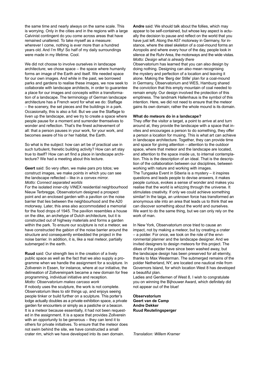the same time and nearly always on the same scale. This is worrying. Only in the cities and in the regions with a large Calvinist contingent do you come across areas that have remained unaltered. To take myself as a measure: wherever I come, nothing is ever more than a hundred years old. And I'm fifty! So half of my daily surroundings were made in my lifetime. Cool.

We did not choose to involve ourselves in landscape architecture; we chose space – the space where humanity forms an image of the Earth and itself. We needed space for our own images. And while in the past, we borrowed parks and gardens to realise these images, we now seek to collaborate with landscape architects, in order to guarantee a place for our images and concepts within a transformation of a landscape. The terminology of German landscape architecture has a French word for what we do: Staffage – the scenery, the set pieces and the buildings in a park. Occasionally, this is also a foil. But we use the Staffage to liven up the landscape, and we try to create a space where people pause for a moment and surrender themselves to wonder and reflection. That's the finest achievement of all: that a person pauses in your work, for your work, and becomes aware of his or her habitat, the Earth.

So what is the subject: how can art be of practical use in such turbulent, frenetic building activity? How can art stay true to itself? How can art find a place in landscape architecture? We had a meeting about this lecture.

**Geert** said: So very often, we make pars pro totos; we construct images, we make points in which you can see the landscape reflected – like in a convex mirror. *Motto: Connect separated worlds* 

For the isolated inner-city VINEX residential neighbourhood Nieuw Terbregge, Observatorium designed a prospect point and an enclosed garden with a pavilion on the noise barrier that lies between the neighbourhood and the A20 motorway. Later, this area also accommodated a memorial for the food drops of 1945. The pavilion resembles a house on the dike, an archetype of Dutch architecture, but it is constructed out of highway materials and forms a garden within the park. To ensure our sculpture is not a meteor, we have constructed the gabion of the noise barrier around the structure and consequently embedded the project in the noise barrier. In addition, it is, like a real meteor, partially submerged in the earth.

**Ruud** said: Our strength lies in the creation of a lively public space as well as the fact that we also supply a programme when we handle the assignment for a sculpture. In Zollverein in Essen, for instance, where at our initiative, the delineation of Zollvereinpark became a new domain for free programming, individual initiative and reception. *Motto: Observatorium makes carcass work*

If nobody uses the sculpture, the work is not complete. Observatorium likes to stir things up, and enjoys seeing people tinker or build further on a sculpture. This porter's lodge actually doubles as a private exhibition space, a private garden for encounters or simply as a pastiche or a beacon. It is a meteor because essentially, it had not been requested in the assignment. It is a space that provides Zollverein with an opportunity to be generous – they can lend it to others for private initiatives. To ensure that the meteor does not swim behind the site, we have constructed a small crater rim, which we have developed into its own domain.

**Andre** said: We should talk about the follies, which may appear to be self-contained, but whose key aspect is actually the decision to pause and reflect on the world that you have just left. Along the A57 motorway in Germany, for instance, where the steel skeleton of a coal-mound forms an Acropolis and where every hour of the day, people look in silence at the Ruhr Area, the motorways and the wide vistas. *Motto: Design what is already there*

Observatorium has learned that you can also design by doing nothing. Designing can also mean recognising the mystery and perfection of a location and leaving it alone. Making the 'Berg der Stille' plan for a coal-mound in Germany, Observatorium and WES, Hamburg shared the conviction that this empty mountain of coal needed to remain empty. Our design involved the protection of this emptiness. The landmark Hallenhaus is the symbol of this intention. Here, we did not need to ensure that the meteor gains its own domain; rather the whole mound is its domain.

### **What do meteors do in a landscape?**

They offer the visitor a target, a point to arrive at and turn around at, they provide the landscape with a space that invites and encourages a person to do something, they offer a person a location for musing. This is what art can achieve in landscape architecture. Together, they can provide time and space for giving attention – attention to the outdoor space, where that meteor and the landscape are located, and attention to the space inside us, to internal contemplation. This is the description of an ideal. That is the description of the collaboration between our disciplines, between working with nature and working with images. The Tungaska Event in Siberia is a mystery – it inspires questions and leads people to devise answers, it makes people curious, evokes a sense of wonder and makes you realise that the world is whizzing through the universe. It stimulates creativity. If only we could achieve something similar! In the taiga, an unknown force has transformed an anonymous site into an area that leads us to think that we can discover something about the world and ourselves. We want to do the same thing, but we can only rely on the work of man.

In New York, Observatorium once tried to cause an impact, not by making a meteor, but by creating a crater – a polder. For once, we took on the role of the environmental planner and the landscape designer. And we invited designers to design meteors for this project. The dikes of the polder have since been washed away, but the landscape design has been preserved for all eternity, thanks to Max Westerman. The submerged remains of the polder Netherland, NY, are located one nautical mile from Governors Island, for which location West 8 has developed a beautiful plan.

Ladies and Gentlemen of West 8, I wish to congratulate you on winning the Bijhouwer Award, which definitely did not appear out of the blue!

**Observatorium Geert van de Camp Andre Dekker Ruud Reutelingsperger**

*Translation: Willem Kramer*